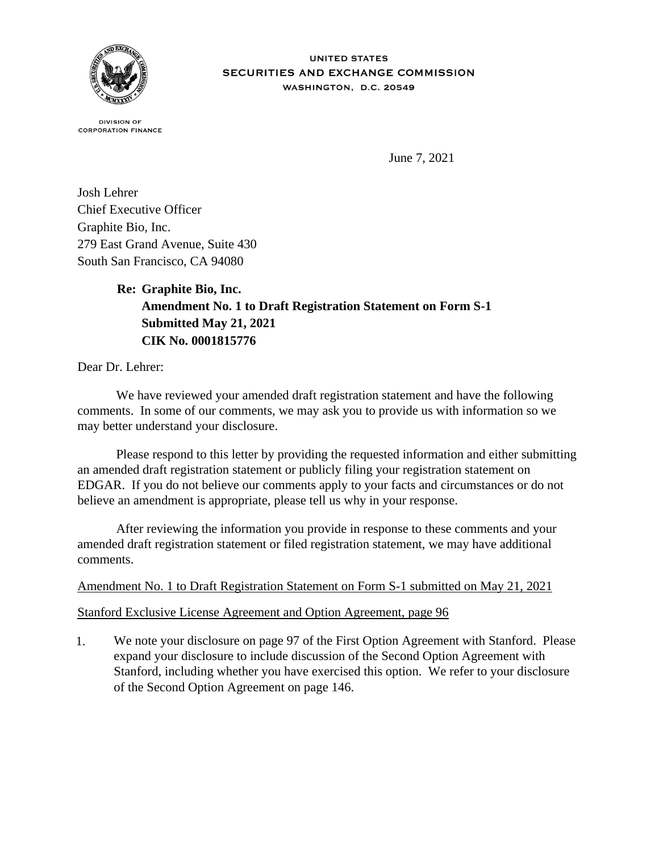

**DIVISION OF CORPORATION FINANCE** 

June 7, 2021

Josh Lehrer Chief Executive Officer Graphite Bio, Inc. 279 East Grand Avenue, Suite 430 South San Francisco, CA 94080

## **Re: Graphite Bio, Inc. Amendment No. 1 to Draft Registration Statement on Form S-1 Submitted May 21, 2021 CIK No. 0001815776**

Dear Dr. Lehrer:

 We have reviewed your amended draft registration statement and have the following comments. In some of our comments, we may ask you to provide us with information so we may better understand your disclosure.

 Please respond to this letter by providing the requested information and either submitting an amended draft registration statement or publicly filing your registration statement on EDGAR. If you do not believe our comments apply to your facts and circumstances or do not believe an amendment is appropriate, please tell us why in your response.

 After reviewing the information you provide in response to these comments and your amended draft registration statement or filed registration statement, we may have additional comments.

## Amendment No. 1 to Draft Registration Statement on Form S-1 submitted on May 21, 2021

## Stanford Exclusive License Agreement and Option Agreement, page 96

1. We note your disclosure on page 97 of the First Option Agreement with Stanford. Please expand your disclosure to include discussion of the Second Option Agreement with Stanford, including whether you have exercised this option. We refer to your disclosure of the Second Option Agreement on page 146.